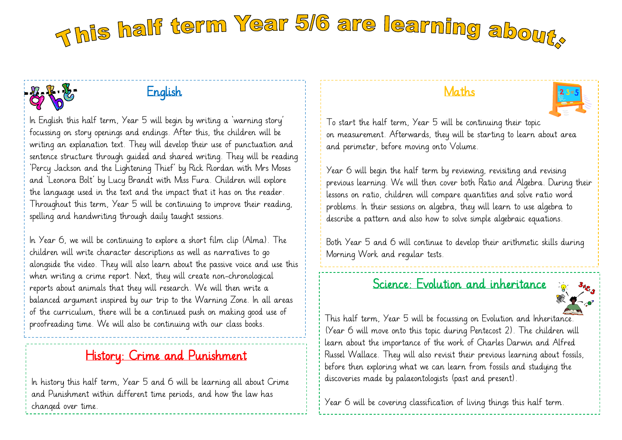# This half term Year 5/6 are learning about.

# ľ

#### English

In English this half term, Year 5 will begin by writing a 'warning story' focussing on story openings and endings. After this, the children will be writing an explanation text. They will develop their use of punctuation and sentence structure through guided and shared writing. They will be reading 'Percy Jackson and the Lightening Thief' by Rick Riordan with Mrs Moses and 'Leonora Bolt' by Lucy Brandt with Miss Fura. Children will explore the language used in the text and the impact that it has on the reader. Throughout this term, Year 5 will be continuing to improve their reading, spelling and handwriting through daily taught sessions.

In Year 6, we will be continuing to explore a short film clip (Alma). The children will write character descriptions as well as narratives to go alongside the video. They will also learn about the passive voice and use this when writing a crime report. Next, they will create non-chronological reports about animals that they will research. We will then write a balanced argument inspired by our trip to the Warning Zone. In all areas of the curriculum, there will be a continued push on making good use of proofreading time. We will also be continuing with our class books.

# History: Crime and Punishment

In history this half term, Year 5 and 6 will be learning all about Crime and Punishment within different time periods, and how the law has changed over time.

#### Maths



To start the half term, Year 5 will be continuing their topic on measurement. Afterwards, they will be starting to learn about area and perimeter, before moving onto Volume.

Year 6 will begin the half term by reviewing, revisiting and revising previous learning. We will then cover both Ratio and Algebra. During their lessons on ratio, children will compare quantities and solve ratio word problems. In their sessions on algebra, they will learn to use algebra to describe a pattern and also how to solve simple algebraic equations.

Both Year 5 and 6 will continue to develop their arithmetic skills during Morning Work and regular tests.

#### Science: Evolution and inheritance



This half term, Year 5 will be focussing on Evolution and Inheritance. (Year 6 will move onto this topic during Pentecost 2). The children will learn about the importance of the work of Charles Darwin and Alfred Russel Wallace. They will also revisit their previous learning about fossils, before then exploring what we can learn from fossils and studying the discoveries made by palaeontologists (past and present).

Year 6 will be covering classification of living things this half term.